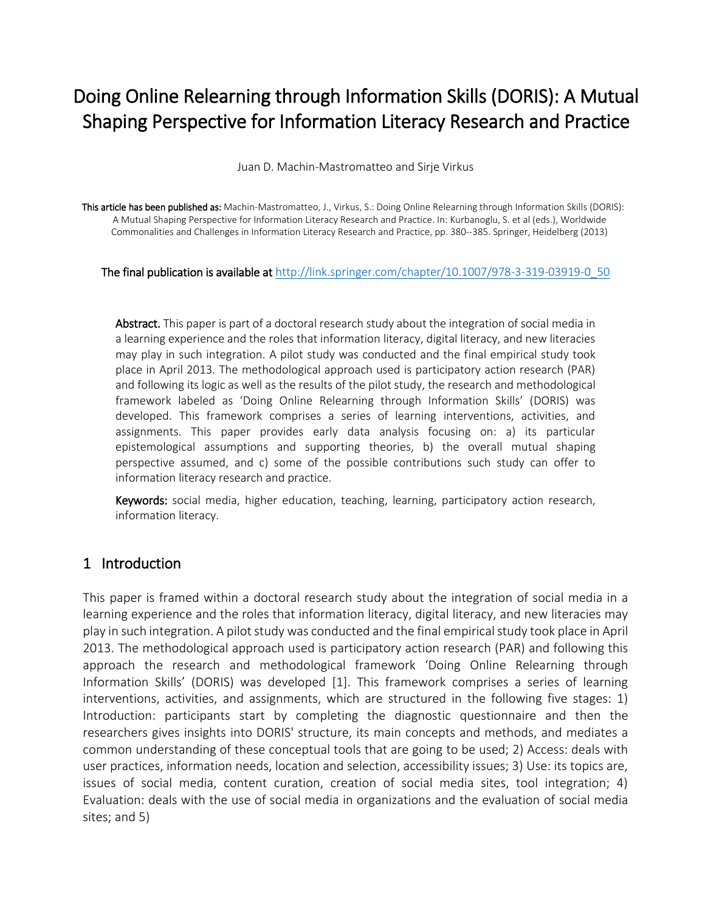# Doing Online Relearning through Information Skills (DORIS): A Mutual Shaping Perspective for Information Literacy Research and Practice

Juan D. Machin-Mastromatteo and Sirje Virkus

This article has been published as: Machin-Mastromatteo, J., Virkus, S.: Doing Online Relearning through Information Skills (DORIS): A Mutual Shaping Perspective for Information Literacy Research and Practice. In: Kurbanoglu, S. et al (eds.), Worldwide Commonalities and Challenges in Information Literacy Research and Practice, pp. 380--385. Springer, Heidelberg (2013)

#### The final publication is available at [http://link.springer.com/chapter/10.1007/978-3-319-03919-0\\_50](http://link.springer.com/chapter/10.1007/978-3-319-03919-0_50)

Abstract. This paper is part of a doctoral research study about the integration of social media in a learning experience and the roles that information literacy, digital literacy, and new literacies may play in such integration. A pilot study was conducted and the final empirical study took place in April 2013. The methodological approach used is participatory action research (PAR) and following its logic as well as the results of the pilot study, the research and methodological framework labeled as 'Doing Online Relearning through Information Skills' (DORIS) was developed. This framework comprises a series of learning interventions, activities, and assignments. This paper provides early data analysis focusing on: a) its particular epistemological assumptions and supporting theories, b) the overall mutual shaping perspective assumed, and c) some of the possible contributions such study can offer to information literacy research and practice.

Keywords: social media, higher education, teaching, learning, participatory action research, information literacy.

### 1 Introduction

This paper is framed within a doctoral research study about the integration of social media in a learning experience and the roles that information literacy, digital literacy, and new literacies may play in such integration. A pilot study was conducted and the final empirical study took place in April 2013. The methodological approach used is participatory action research (PAR) and following this approach the research and methodological framework 'Doing Online Relearning through Information Skills' (DORIS) was developed [1]. This framework comprises a series of learning interventions, activities, and assignments, which are structured in the following five stages: 1) Introduction: participants start by completing the diagnostic questionnaire and then the researchers gives insights into DORIS' structure, its main concepts and methods, and mediates a common understanding of these conceptual tools that are going to be used; 2) Access: deals with user practices, information needs, location and selection, accessibility issues; 3) Use: its topics are, issues of social media, content curation, creation of social media sites, tool integration; 4) Evaluation: deals with the use of social media in organizations and the evaluation of social media sites; and 5)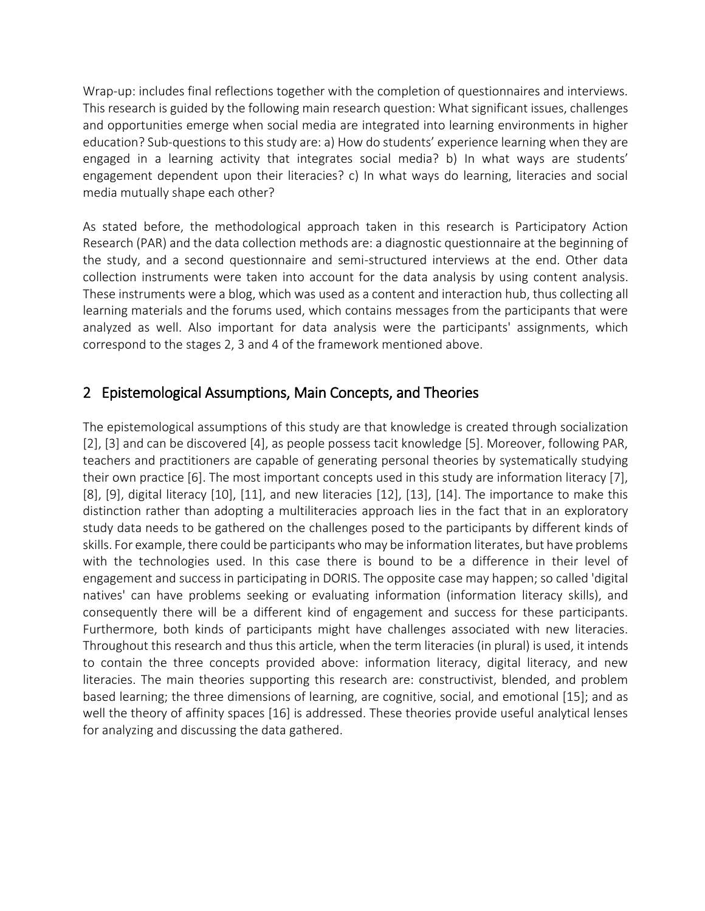Wrap-up: includes final reflections together with the completion of questionnaires and interviews. This research is guided by the following main research question: What significant issues, challenges and opportunities emerge when social media are integrated into learning environments in higher education? Sub-questions to this study are: a) How do students' experience learning when they are engaged in a learning activity that integrates social media? b) In what ways are students' engagement dependent upon their literacies? c) In what ways do learning, literacies and social media mutually shape each other?

As stated before, the methodological approach taken in this research is Participatory Action Research (PAR) and the data collection methods are: a diagnostic questionnaire at the beginning of the study, and a second questionnaire and semi-structured interviews at the end. Other data collection instruments were taken into account for the data analysis by using content analysis. These instruments were a blog, which was used as a content and interaction hub, thus collecting all learning materials and the forums used, which contains messages from the participants that were analyzed as well. Also important for data analysis were the participants' assignments, which correspond to the stages 2, 3 and 4 of the framework mentioned above.

# 2 Epistemological Assumptions, Main Concepts, and Theories

The epistemological assumptions of this study are that knowledge is created through socialization [2], [3] and can be discovered [4], as people possess tacit knowledge [5]. Moreover, following PAR, teachers and practitioners are capable of generating personal theories by systematically studying their own practice [6]. The most important concepts used in this study are information literacy [7], [8], [9], digital literacy [10], [11], and new literacies [12], [13], [14]. The importance to make this distinction rather than adopting a multiliteracies approach lies in the fact that in an exploratory study data needs to be gathered on the challenges posed to the participants by different kinds of skills. For example, there could be participants who may be information literates, but have problems with the technologies used. In this case there is bound to be a difference in their level of engagement and success in participating in DORIS. The opposite case may happen; so called 'digital natives' can have problems seeking or evaluating information (information literacy skills), and consequently there will be a different kind of engagement and success for these participants. Furthermore, both kinds of participants might have challenges associated with new literacies. Throughout this research and thus this article, when the term literacies (in plural) is used, it intends to contain the three concepts provided above: information literacy, digital literacy, and new literacies. The main theories supporting this research are: constructivist, blended, and problem based learning; the three dimensions of learning, are cognitive, social, and emotional [15]; and as well the theory of affinity spaces [16] is addressed. These theories provide useful analytical lenses for analyzing and discussing the data gathered.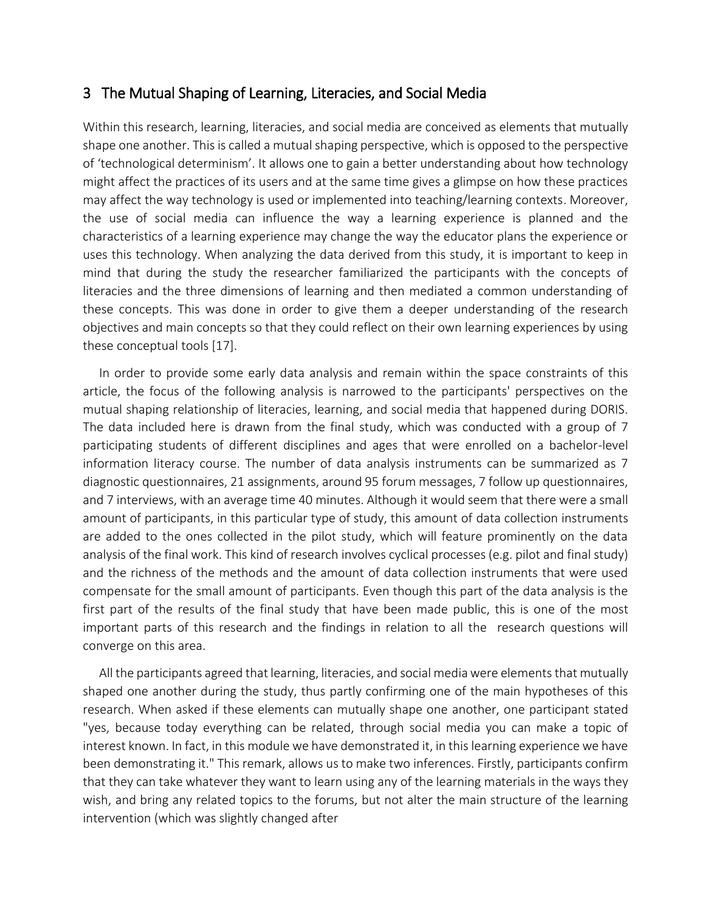## 3 The Mutual Shaping of Learning, Literacies, and Social Media

Within this research, learning, literacies, and social media are conceived as elements that mutually shape one another. This is called a mutual shaping perspective, which is opposed to the perspective of 'technological determinism'. It allows one to gain a better understanding about how technology might affect the practices of its users and at the same time gives a glimpse on how these practices may affect the way technology is used or implemented into teaching/learning contexts. Moreover, the use of social media can influence the way a learning experience is planned and the characteristics of a learning experience may change the way the educator plans the experience or uses this technology. When analyzing the data derived from this study, it is important to keep in mind that during the study the researcher familiarized the participants with the concepts of literacies and the three dimensions of learning and then mediated a common understanding of these concepts. This was done in order to give them a deeper understanding of the research objectives and main concepts so that they could reflect on their own learning experiences by using these conceptual tools [17].

In order to provide some early data analysis and remain within the space constraints of this article, the focus of the following analysis is narrowed to the participants' perspectives on the mutual shaping relationship of literacies, learning, and social media that happened during DORIS. The data included here is drawn from the final study, which was conducted with a group of 7 participating students of different disciplines and ages that were enrolled on a bachelor-level information literacy course. The number of data analysis instruments can be summarized as 7 diagnostic questionnaires, 21 assignments, around 95 forum messages, 7 follow up questionnaires, and 7 interviews, with an average time 40 minutes. Although it would seem that there were a small amount of participants, in this particular type of study, this amount of data collection instruments are added to the ones collected in the pilot study, which will feature prominently on the data analysis of the final work. This kind of research involves cyclical processes (e.g. pilot and final study) and the richness of the methods and the amount of data collection instruments that were used compensate for the small amount of participants. Even though this part of the data analysis is the first part of the results of the final study that have been made public, this is one of the most important parts of this research and the findings in relation to all the research questions will converge on this area.

All the participants agreed that learning, literacies, and social media were elements that mutually shaped one another during the study, thus partly confirming one of the main hypotheses of this research. When asked if these elements can mutually shape one another, one participant stated "yes, because today everything can be related, through social media you can make a topic of interest known. In fact, in this module we have demonstrated it, in this learning experience we have been demonstrating it." This remark, allows us to make two inferences. Firstly, participants confirm that they can take whatever they want to learn using any of the learning materials in the ways they wish, and bring any related topics to the forums, but not alter the main structure of the learning intervention (which was slightly changed after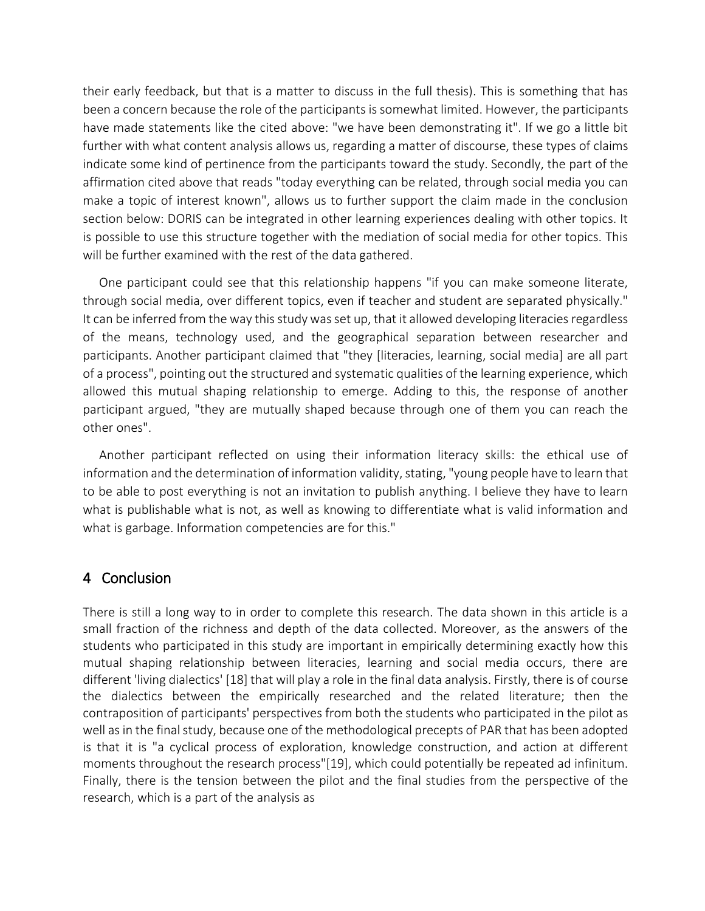their early feedback, but that is a matter to discuss in the full thesis). This is something that has been a concern because the role of the participants is somewhat limited. However, the participants have made statements like the cited above: "we have been demonstrating it". If we go a little bit further with what content analysis allows us, regarding a matter of discourse, these types of claims indicate some kind of pertinence from the participants toward the study. Secondly, the part of the affirmation cited above that reads "today everything can be related, through social media you can make a topic of interest known", allows us to further support the claim made in the conclusion section below: DORIS can be integrated in other learning experiences dealing with other topics. It is possible to use this structure together with the mediation of social media for other topics. This will be further examined with the rest of the data gathered.

One participant could see that this relationship happens "if you can make someone literate, through social media, over different topics, even if teacher and student are separated physically." It can be inferred from the way this study was set up, that it allowed developing literacies regardless of the means, technology used, and the geographical separation between researcher and participants. Another participant claimed that "they [literacies, learning, social media] are all part of a process", pointing out the structured and systematic qualities of the learning experience, which allowed this mutual shaping relationship to emerge. Adding to this, the response of another participant argued, "they are mutually shaped because through one of them you can reach the other ones".

Another participant reflected on using their information literacy skills: the ethical use of information and the determination of information validity, stating, "young people have to learn that to be able to post everything is not an invitation to publish anything. I believe they have to learn what is publishable what is not, as well as knowing to differentiate what is valid information and what is garbage. Information competencies are for this."

## 4 Conclusion

There is still a long way to in order to complete this research. The data shown in this article is a small fraction of the richness and depth of the data collected. Moreover, as the answers of the students who participated in this study are important in empirically determining exactly how this mutual shaping relationship between literacies, learning and social media occurs, there are different 'living dialectics' [18] that will play a role in the final data analysis. Firstly, there is of course the dialectics between the empirically researched and the related literature; then the contraposition of participants' perspectives from both the students who participated in the pilot as well as in the final study, because one of the methodological precepts of PAR that has been adopted is that it is "a cyclical process of exploration, knowledge construction, and action at different moments throughout the research process"[19], which could potentially be repeated ad infinitum. Finally, there is the tension between the pilot and the final studies from the perspective of the research, which is a part of the analysis as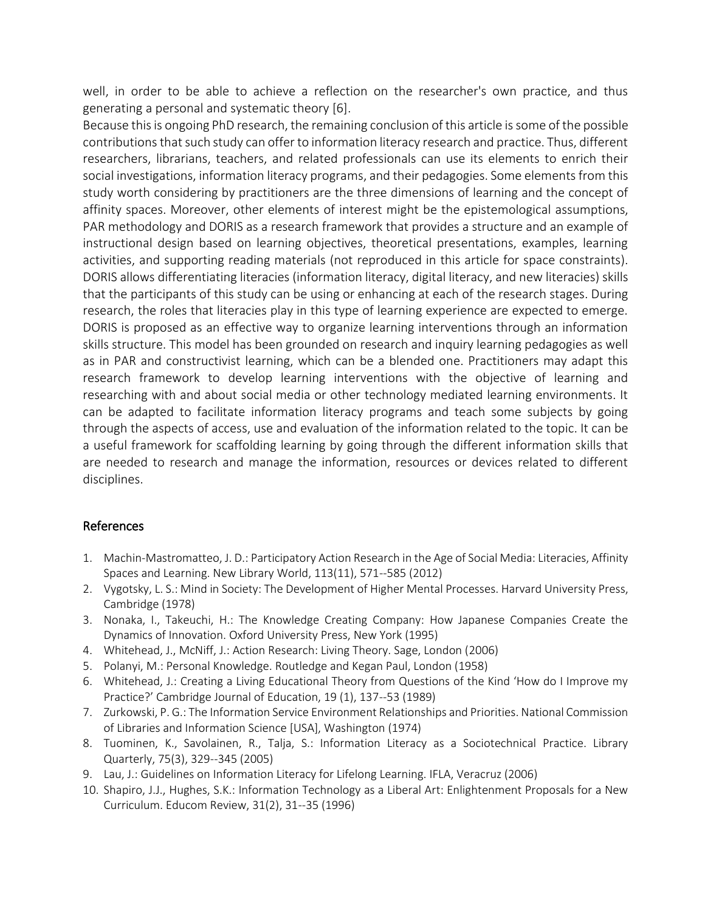well, in order to be able to achieve a reflection on the researcher's own practice, and thus generating a personal and systematic theory [6].

Because this is ongoing PhD research, the remaining conclusion of this article is some of the possible contributions that such study can offer to information literacy research and practice. Thus, different researchers, librarians, teachers, and related professionals can use its elements to enrich their social investigations, information literacy programs, and their pedagogies. Some elements from this study worth considering by practitioners are the three dimensions of learning and the concept of affinity spaces. Moreover, other elements of interest might be the epistemological assumptions, PAR methodology and DORIS as a research framework that provides a structure and an example of instructional design based on learning objectives, theoretical presentations, examples, learning activities, and supporting reading materials (not reproduced in this article for space constraints). DORIS allows differentiating literacies (information literacy, digital literacy, and new literacies) skills that the participants of this study can be using or enhancing at each of the research stages. During research, the roles that literacies play in this type of learning experience are expected to emerge. DORIS is proposed as an effective way to organize learning interventions through an information skills structure. This model has been grounded on research and inquiry learning pedagogies as well as in PAR and constructivist learning, which can be a blended one. Practitioners may adapt this research framework to develop learning interventions with the objective of learning and researching with and about social media or other technology mediated learning environments. It can be adapted to facilitate information literacy programs and teach some subjects by going through the aspects of access, use and evaluation of the information related to the topic. It can be a useful framework for scaffolding learning by going through the different information skills that are needed to research and manage the information, resources or devices related to different disciplines.

#### References

- 1. Machin-Mastromatteo, J. D.: Participatory Action Research in the Age of Social Media: Literacies, Affinity Spaces and Learning. New Library World, 113(11), 571--585 (2012)
- 2. Vygotsky, L. S.: Mind in Society: The Development of Higher Mental Processes. Harvard University Press, Cambridge (1978)
- 3. Nonaka, I., Takeuchi, H.: The Knowledge Creating Company: How Japanese Companies Create the Dynamics of Innovation. Oxford University Press, New York (1995)
- 4. Whitehead, J., McNiff, J.: Action Research: Living Theory. Sage, London (2006)
- 5. Polanyi, M.: Personal Knowledge. Routledge and Kegan Paul, London (1958)
- 6. Whitehead, J.: Creating a Living Educational Theory from Questions of the Kind 'How do I Improve my Practice?' Cambridge Journal of Education, 19 (1), 137--53 (1989)
- 7. Zurkowski, P. G.: The Information Service Environment Relationships and Priorities. National Commission of Libraries and Information Science [USA], Washington (1974)
- 8. Tuominen, K., Savolainen, R., Talja, S.: Information Literacy as a Sociotechnical Practice. Library Quarterly, 75(3), 329--345 (2005)
- 9. Lau, J.: Guidelines on Information Literacy for Lifelong Learning. IFLA, Veracruz (2006)
- 10. Shapiro, J.J., Hughes, S.K.: Information Technology as a Liberal Art: Enlightenment Proposals for a New Curriculum. Educom Review, 31(2), 31--35 (1996)